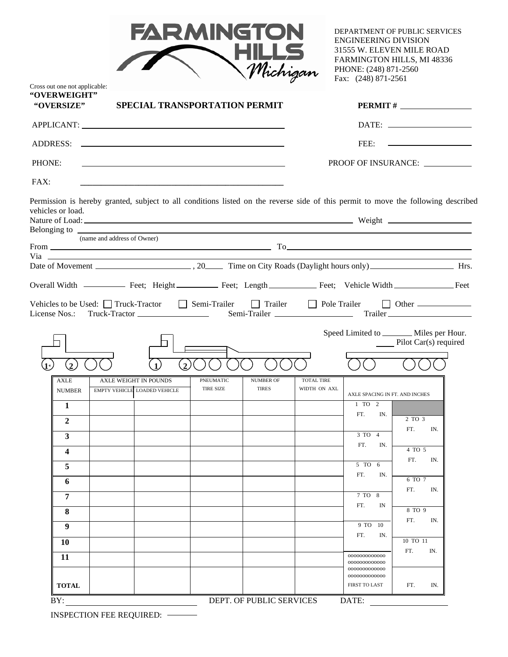| <b>FARMINGTON</b> |
|-------------------|
| <b>HILLS</b>      |
| Michigan          |

DEPARTMENT OF PUBLIC SERVICES ENGINEERING DIVISION 31555 W. ELEVEN MILE ROAD FARMINGTON HILLS, MI 48336 PHONE: (248) 871-2560 Fax: (248) 871-2561

|                             |                                                                                                     |                  | SPECIAL TRANSPORTATION PERMIT                                                                                                                                                                                             |                   |                                | $PERMIT # \_$                                                                                                         |  |
|-----------------------------|-----------------------------------------------------------------------------------------------------|------------------|---------------------------------------------------------------------------------------------------------------------------------------------------------------------------------------------------------------------------|-------------------|--------------------------------|-----------------------------------------------------------------------------------------------------------------------|--|
|                             |                                                                                                     |                  |                                                                                                                                                                                                                           |                   |                                |                                                                                                                       |  |
|                             |                                                                                                     |                  |                                                                                                                                                                                                                           |                   | FEE:                           | <u> 2000 - Andrea Albert III, am bhliain 1976 - An t-Ainm an t-Ainm an t-Ainm an t-Ainm ann an t-Ainm ann an t-Ai</u> |  |
| PHONE:                      |                                                                                                     |                  |                                                                                                                                                                                                                           |                   |                                | PROOF OF INSURANCE:                                                                                                   |  |
| FAX:                        |                                                                                                     |                  |                                                                                                                                                                                                                           |                   |                                |                                                                                                                       |  |
| vehicles or load.           |                                                                                                     |                  | Permission is hereby granted, subject to all conditions listed on the reverse side of this permit to move the following described                                                                                         |                   |                                |                                                                                                                       |  |
|                             | (name and address of Owner)                                                                         |                  |                                                                                                                                                                                                                           |                   |                                |                                                                                                                       |  |
|                             |                                                                                                     |                  | From $\frac{1}{\sqrt{1-\frac{1}{2}}\left(\frac{1}{2}-\frac{1}{2}\right)}$ To $\frac{1}{\sqrt{1-\frac{1}{2}}\left(\frac{1}{2}-\frac{1}{2}\right)}$ To $\frac{1}{\sqrt{1-\frac{1}{2}}\left(\frac{1}{2}-\frac{1}{2}\right)}$ |                   |                                |                                                                                                                       |  |
|                             |                                                                                                     |                  |                                                                                                                                                                                                                           |                   |                                |                                                                                                                       |  |
|                             |                                                                                                     |                  |                                                                                                                                                                                                                           |                   |                                |                                                                                                                       |  |
|                             |                                                                                                     |                  |                                                                                                                                                                                                                           |                   |                                |                                                                                                                       |  |
| License Nos.:               | Vehicles to be Used: $\Box$ Truck-Tractor $\Box$ Semi-Trailer<br>Truck-Tractor ____________________ |                  | Semi-Trailer                                                                                                                                                                                                              |                   |                                | Trailer Dele Trailer Dother                                                                                           |  |
| $\mathbf{2}$<br><b>AXLE</b> | <b>AXLE WEIGHT IN POUNDS</b>                                                                        | $\mathbf{2}$     | PNEUMATIC<br><b>NUMBER OF</b>                                                                                                                                                                                             | <b>TOTAL TIRE</b> |                                |                                                                                                                       |  |
|                             |                                                                                                     |                  |                                                                                                                                                                                                                           |                   |                                |                                                                                                                       |  |
| <b>NUMBER</b>               | <b>EMPTY VEHICLE LOADED VEHICLE</b>                                                                 | <b>TIRE SIZE</b> | <b>TIRES</b>                                                                                                                                                                                                              | WIDTH ON AXL      | AXLE SPACING IN FT. AND INCHES |                                                                                                                       |  |
| $\mathbf{1}$                |                                                                                                     |                  |                                                                                                                                                                                                                           |                   | 1 TO 2<br>FT.<br>IN.           |                                                                                                                       |  |
| $\overline{2}$              |                                                                                                     |                  |                                                                                                                                                                                                                           |                   | 3 TO 4                         | 2 TO 3<br>FT.<br>IN.                                                                                                  |  |
| $\mathbf{3}$                |                                                                                                     |                  |                                                                                                                                                                                                                           |                   | FT.<br>IN.                     | $\overline{4}$ TO 5                                                                                                   |  |
| $\overline{\mathbf{4}}$     |                                                                                                     |                  |                                                                                                                                                                                                                           |                   | 5 TO 6                         | FT.<br>IN.                                                                                                            |  |
| 5                           |                                                                                                     |                  |                                                                                                                                                                                                                           |                   | FT.<br>IN.                     | 6 TO 7                                                                                                                |  |
| 6                           |                                                                                                     |                  |                                                                                                                                                                                                                           |                   | 7 TO 8                         | FT.<br>IN.                                                                                                            |  |
| $\overline{7}$              |                                                                                                     |                  |                                                                                                                                                                                                                           |                   | FT.<br>IN                      | 8 TO 9                                                                                                                |  |
| 8                           |                                                                                                     |                  |                                                                                                                                                                                                                           |                   | 9 TO 10                        | FT.<br>IN.                                                                                                            |  |
| 9                           |                                                                                                     |                  |                                                                                                                                                                                                                           |                   | FT.<br>IN.                     | 10 TO 11                                                                                                              |  |
| 10                          |                                                                                                     |                  |                                                                                                                                                                                                                           |                   | 0000000000000                  | FT.<br>IN.                                                                                                            |  |
| 11                          |                                                                                                     |                  |                                                                                                                                                                                                                           |                   | 0000000000000<br>0000000000000 |                                                                                                                       |  |

INSPECTION FEE REQUIRED:

 $\overline{\phantom{0}}$ 

Cross out one not applicable: